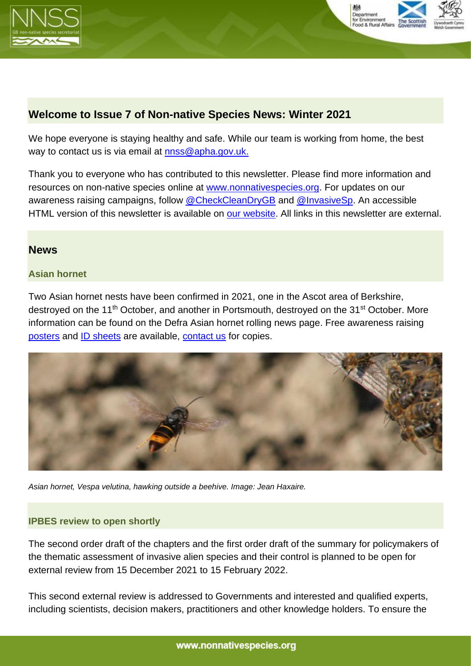



# **Welcome to Issue 7 of Non-native Species News: Winter 2021**

We hope everyone is staying healthy and safe. While our team is working from home, the best way to contact us is via email at [nnss@apha.gov.uk.](mailto:nnss@apha.gov.uk)

Thank you to everyone who has contributed to this newsletter. Please find more information and resources on non-native species online at [www.nonnativespecies.org.](http://www.nonnativespecies.org/) For updates on our awareness raising campaigns, follow [@CheckCleanDryGB](https://twitter.com/CheckCleanDryGB) and [@InvasiveSp.](https://twitter.com/invasivesp?lang=en) An accessible HTML version of this newsletter is available on [our website.](http://www.nonnativespecies.org/home/index.cfm) All links in this newsletter are external.

# **News**

### **Asian hornet**

Two Asian hornet nests have been confirmed in 2021, one in the Ascot area of Berkshire, destroyed on the 11<sup>th</sup> October, and another in Portsmouth, destroyed on the 31<sup>st</sup> October. More information can be found on the Defra Asian hornet rolling news page. Free awareness raising [posters](https://secure.fera.defra.gov.uk/nonnativespecies/downloadDocument.cfm?id=872) and [ID sheets](https://secure.fera.defra.gov.uk/nonnativespecies/downloadDocument.cfm?id=646) are available, [contact us](mailto:nnss@apha.gov.uk) for copies.



*Asian hornet, Vespa velutina, hawking outside a beehive. Image: Jean Haxaire.* 

### **IPBES review to open shortly**

The second order draft of the chapters and the first order draft of the summary for policymakers of the thematic assessment of invasive alien species and their control is planned to be open for external review from 15 December 2021 to 15 February 2022.

This second external review is addressed to Governments and interested and qualified experts, including scientists, decision makers, practitioners and other knowledge holders. To ensure the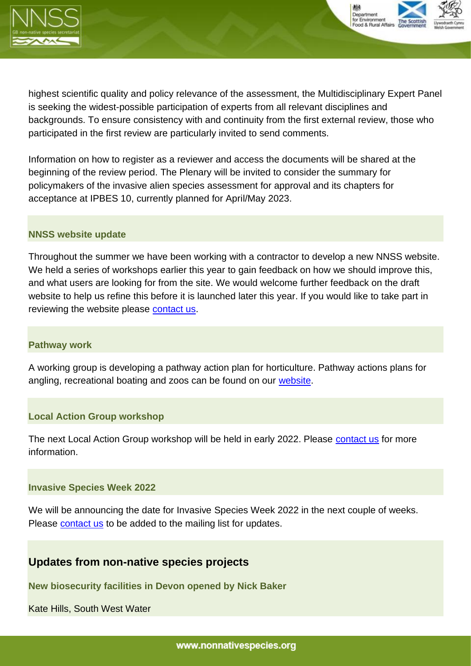



highest scientific quality and policy relevance of the assessment, the Multidisciplinary Expert Panel is seeking the widest-possible participation of experts from all relevant disciplines and backgrounds. To ensure consistency with and continuity from the first external review, those who participated in the first review are particularly invited to send comments.

Information on how to register as a reviewer and access the documents will be shared at the beginning of the review period. The Plenary will be invited to consider the summary for policymakers of the invasive alien species assessment for approval and its chapters for acceptance at IPBES 10, currently planned for April/May 2023.

#### **NNSS website update**

Throughout the summer we have been working with a contractor to develop a new NNSS website. We held a series of workshops earlier this year to gain feedback on how we should improve this, and what users are looking for from the site. We would welcome further feedback on the draft website to help us refine this before it is launched later this year. If you would like to take part in reviewing the website please [contact](mailto:nnss@apha.gov.uk) us.

#### **Pathway work**

A working group is developing a pathway action plan for horticulture. Pathway actions plans for angling, recreational boating and zoos can be found on our [website.](http://www.nonnativespecies.org/index.cfm?sectionid=135)

### **Local Action Group workshop**

The next Local Action Group workshop will be held in early 2022. Please [contact](mailto:nnss@apha.gov.uk) us for more information.

#### **Invasive Species Week 2022**

We will be announcing the date for Invasive Species Week 2022 in the next couple of weeks. Please [contact](mailto:nnss@apha.gov.uk) us to be added to the mailing list for updates.

# **Updates from non-native species projects**

**New biosecurity facilities in Devon opened by Nick Baker** 

Kate Hills, South West Water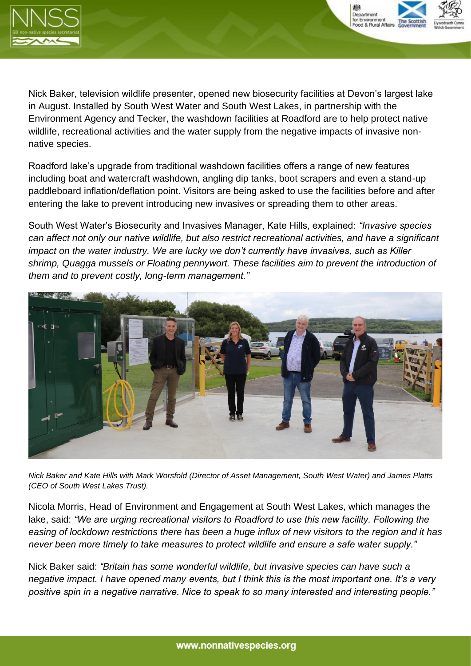



Nick Baker, television wildlife presenter, opened new biosecurity facilities at Devon's largest lake in August. Installed by South West Water and South West Lakes, in partnership with the Environment Agency and Tecker, the washdown facilities at Roadford are to help protect native wildlife, recreational activities and the water supply from the negative impacts of invasive nonnative species.

Roadford lake's upgrade from traditional washdown facilities offers a range of new features including boat and watercraft washdown, angling dip tanks, boot scrapers and even a stand-up paddleboard inflation/deflation point. Visitors are being asked to use the facilities before and after entering the lake to prevent introducing new invasives or spreading them to other areas.

South West Water's Biosecurity and Invasives Manager, Kate Hills, explained: *"Invasive species can affect not only our native wildlife, but also restrict recreational activities, and have a significant impact on the water industry. We are lucky we don't currently have invasives, such as Killer shrimp, Quagga mussels or Floating pennywort. These facilities aim to prevent the introduction of them and to prevent costly, long-term management."*



*Nick Baker and Kate Hills with Mark Worsfold (Director of Asset Management, South West Water) and James Platts (CEO of South West Lakes Trust).*

Nicola Morris, Head of Environment and Engagement at South West Lakes, which manages the lake, said: *"We are urging recreational visitors to Roadford to use this new facility. Following the easing of lockdown restrictions there has been a huge influx of new visitors to the region and it has never been more timely to take measures to protect wildlife and ensure a safe water supply."*

Nick Baker said: *"Britain has some wonderful wildlife, but invasive species can have such a negative impact. I have opened many events, but I think this is the most important one. It's a very positive spin in a negative narrative. Nice to speak to so many interested and interesting people."*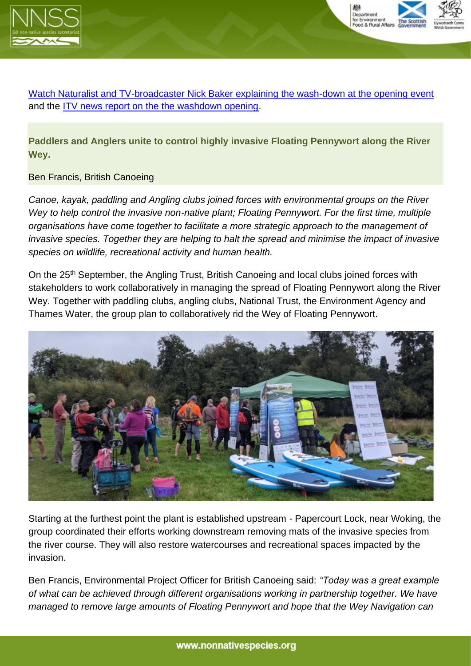



[Watch Naturalist and TV-broadcaster Nick Baker explaining the wash-down at the opening event](https://eur03.safelinks.protection.outlook.com/?url=https%3A%2F%2Fwww.facebook.com%2Fwatch%2F%3Fv%3D629976227976507&data=04%7C01%7CLucy.Cornwell%40apha.gov.uk%7C1079905c3d434c2aef7e08d9a538b85b%7C770a245002274c6290c74e38537f1102%7C0%7C0%7C637722485293152467%7CUnknown%7CTWFpbGZsb3d8eyJWIjoiMC4wLjAwMDAiLCJQIjoiV2luMzIiLCJBTiI6Ik1haWwiLCJXVCI6Mn0%3D%7C1000&sdata=woIASQvaJPPpBo0LDxKndYXHgmy7NmzQXhLFT%2BFDwAk%3D&reserved=0) and the [ITV news report on the the washdown opening.](https://eur03.safelinks.protection.outlook.com/?url=https%3A%2F%2Fwww.itv.com%2Fnews%2Fwestcountry%2F2021-09-12%2Fpeople-urged-to-wash-down-paddleboards-to-protect-wildlife&data=04%7C01%7CLucy.Cornwell%40apha.gov.uk%7C1079905c3d434c2aef7e08d9a538b85b%7C770a245002274c6290c74e38537f1102%7C0%7C0%7C637722485293162463%7CUnknown%7CTWFpbGZsb3d8eyJWIjoiMC4wLjAwMDAiLCJQIjoiV2luMzIiLCJBTiI6Ik1haWwiLCJXVCI6Mn0%3D%7C1000&sdata=FLoLwlV%2Ble8SnDX6xDXRdYXUgWvs5Z%2FiF68eOiFdWxg%3D&reserved=0)

**Paddlers and Anglers unite to control highly invasive Floating Pennywort along the River Wey.**

### Ben Francis, British Canoeing

*Canoe, kayak, paddling and Angling clubs joined forces with environmental groups on the River Wey to help control the invasive non-native plant; Floating Pennywort. For the first time, multiple organisations have come together to facilitate a more strategic approach to the management of invasive species. Together they are helping to halt the spread and minimise the impact of invasive species on wildlife, recreational activity and human health.*

On the 25<sup>th</sup> September, the Angling Trust, British Canoeing and local clubs joined forces with stakeholders to work collaboratively in managing the spread of Floating Pennywort along the River Wey. Together with paddling clubs, angling clubs, National Trust, the Environment Agency and Thames Water, the group plan to collaboratively rid the Wey of Floating Pennywort.



Starting at the furthest point the plant is established upstream - Papercourt Lock, near Woking, the group coordinated their efforts working downstream removing mats of the invasive species from the river course. They will also restore watercourses and recreational spaces impacted by the invasion.

Ben Francis, Environmental Project Officer for British Canoeing said: *"Today was a great example of what can be achieved through different organisations working in partnership together. We have managed to remove large amounts of Floating Pennywort and hope that the Wey Navigation can*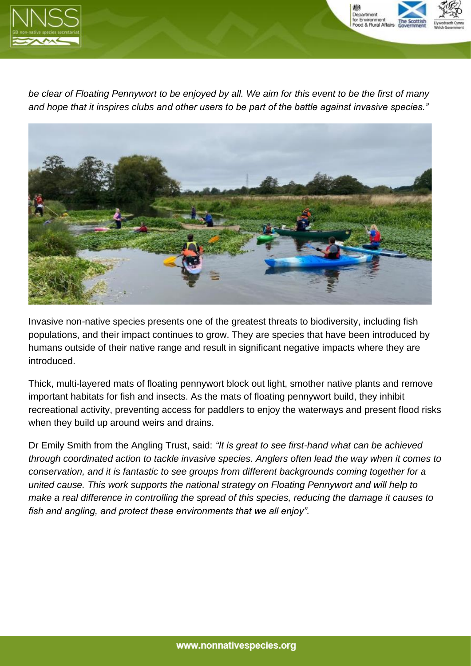



*be clear of Floating Pennywort to be enjoyed by all. We aim for this event to be the first of many and hope that it inspires clubs and other users to be part of the battle against invasive species."*



Invasive non-native species presents one of the greatest threats to biodiversity, including fish populations, and their impact continues to grow. They are species that have been introduced by humans outside of their native range and result in significant negative impacts where they are introduced.

Thick, multi-layered mats of floating pennywort block out light, smother native plants and remove important habitats for fish and insects. As the mats of floating pennywort build, they inhibit recreational activity, preventing access for paddlers to enjoy the waterways and present flood risks when they build up around weirs and drains.

Dr Emily Smith from the Angling Trust, said: *"It is great to see first-hand what can be achieved through coordinated action to tackle invasive species. Anglers often lead the way when it comes to conservation, and it is fantastic to see groups from different backgrounds coming together for a united cause. This work supports the national strategy on Floating Pennywort and will help to make a real difference in controlling the spread of this species, reducing the damage it causes to fish and angling, and protect these environments that we all enjoy".*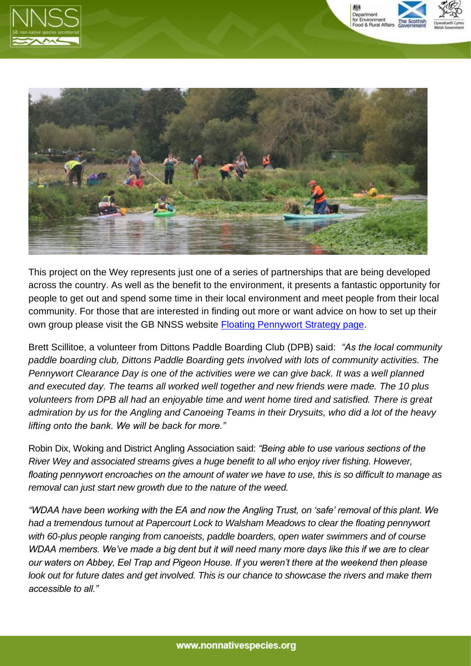





This project on the Wey represents just one of a series of partnerships that are being developed across the country. As well as the benefit to the environment, it presents a fantastic opportunity for people to get out and spend some time in their local environment and meet people from their local community. For those that are interested in finding out more or want advice on how to set up their own group please visit the GB NNSS website [Floating Pennywort Strategy page.](http://www.nonnativespecies.org/index.cfm?sectionid=144.)

Brett Scillitoe, a volunteer from Dittons Paddle Boarding Club (DPB) said: *"As the local community paddle boarding club, Dittons Paddle Boarding gets involved with lots of community activities. The Pennywort Clearance Day is one of the activities were we can give back. It was a well planned and executed day. The teams all worked well together and new friends were made. The 10 plus volunteers from DPB all had an enjoyable time and went home tired and satisfied. There is great admiration by us for the Angling and Canoeing Teams in their Drysuits, who did a lot of the heavy lifting onto the bank. We will be back for more."*

Robin Dix, Woking and District Angling Association said: *"Being able to use various sections of the River Wey and associated streams gives a huge benefit to all who enjoy river fishing. However, floating pennywort encroaches on the amount of water we have to use, this is so difficult to manage as removal can just start new growth due to the nature of the weed.*

*"WDAA have been working with the EA and now the Angling Trust, on 'safe' removal of this plant. We had a tremendous turnout at Papercourt Lock to Walsham Meadows to clear the floating pennywort with 60-plus people ranging from canoeists, paddle boarders, open water swimmers and of course WDAA members. We've made a big dent but it will need many more days like this if we are to clear our waters on Abbey, Eel Trap and Pigeon House. If you weren't there at the weekend then please look out for future dates and get involved. This is our chance to showcase the rivers and make them accessible to all."*